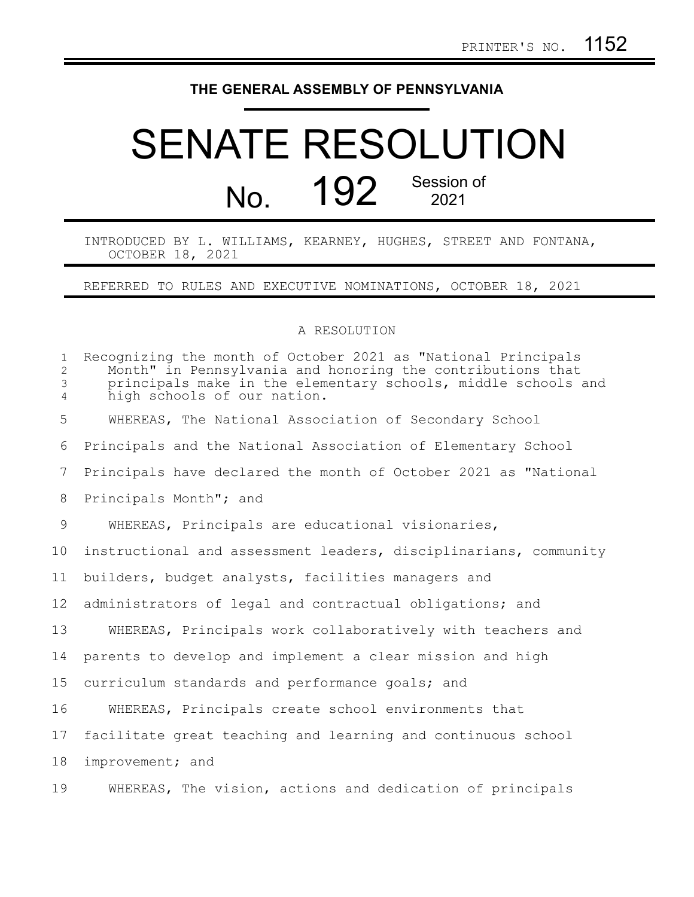## **THE GENERAL ASSEMBLY OF PENNSYLVANIA**

## SENATE RESOLUTION No. 192 Session of

INTRODUCED BY L. WILLIAMS, KEARNEY, HUGHES, STREET AND FONTANA, OCTOBER 18, 2021

REFERRED TO RULES AND EXECUTIVE NOMINATIONS, OCTOBER 18, 2021

## A RESOLUTION

| $\mathbf{1}$<br>$\overline{2}$<br>$\mathfrak{Z}$<br>$\overline{4}$ | Recognizing the month of October 2021 as "National Principals<br>Month" in Pennsylvania and honoring the contributions that<br>principals make in the elementary schools, middle schools and<br>high schools of our nation. |
|--------------------------------------------------------------------|-----------------------------------------------------------------------------------------------------------------------------------------------------------------------------------------------------------------------------|
| 5                                                                  | WHEREAS, The National Association of Secondary School                                                                                                                                                                       |
| 6                                                                  | Principals and the National Association of Elementary School                                                                                                                                                                |
| 7                                                                  | Principals have declared the month of October 2021 as "National                                                                                                                                                             |
| 8                                                                  | Principals Month"; and                                                                                                                                                                                                      |
| $\mathcal{G}$                                                      | WHEREAS, Principals are educational visionaries,                                                                                                                                                                            |
| 10                                                                 | instructional and assessment leaders, disciplinarians, community                                                                                                                                                            |
| 11                                                                 | builders, budget analysts, facilities managers and                                                                                                                                                                          |
| 12 <sup>°</sup>                                                    | administrators of legal and contractual obligations; and                                                                                                                                                                    |
| 13                                                                 | WHEREAS, Principals work collaboratively with teachers and                                                                                                                                                                  |
| 14                                                                 | parents to develop and implement a clear mission and high                                                                                                                                                                   |
| 15                                                                 | curriculum standards and performance goals; and                                                                                                                                                                             |
| 16                                                                 | WHEREAS, Principals create school environments that                                                                                                                                                                         |
| 17                                                                 | facilitate great teaching and learning and continuous school                                                                                                                                                                |
| 18                                                                 | improvement; and                                                                                                                                                                                                            |
| 19                                                                 | WHEREAS, The vision, actions and dedication of principals                                                                                                                                                                   |